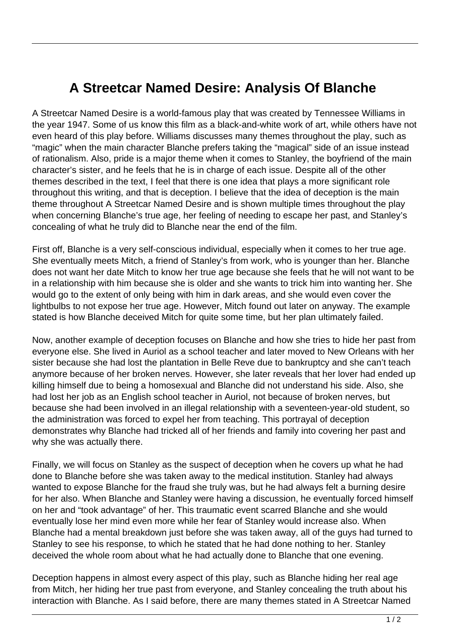## **A Streetcar Named Desire: Analysis Of Blanche**

A Streetcar Named Desire is a world-famous play that was created by Tennessee Williams in the year 1947. Some of us know this film as a black-and-white work of art, while others have not even heard of this play before. Williams discusses many themes throughout the play, such as "magic" when the main character Blanche prefers taking the "magical" side of an issue instead of rationalism. Also, pride is a major theme when it comes to Stanley, the boyfriend of the main character's sister, and he feels that he is in charge of each issue. Despite all of the other themes described in the text, I feel that there is one idea that plays a more significant role throughout this writing, and that is deception. I believe that the idea of deception is the main theme throughout A Streetcar Named Desire and is shown multiple times throughout the play when concerning Blanche's true age, her feeling of needing to escape her past, and Stanley's concealing of what he truly did to Blanche near the end of the film.

First off, Blanche is a very self-conscious individual, especially when it comes to her true age. She eventually meets Mitch, a friend of Stanley's from work, who is younger than her. Blanche does not want her date Mitch to know her true age because she feels that he will not want to be in a relationship with him because she is older and she wants to trick him into wanting her. She would go to the extent of only being with him in dark areas, and she would even cover the lightbulbs to not expose her true age. However, Mitch found out later on anyway. The example stated is how Blanche deceived Mitch for quite some time, but her plan ultimately failed.

Now, another example of deception focuses on Blanche and how she tries to hide her past from everyone else. She lived in Auriol as a school teacher and later moved to New Orleans with her sister because she had lost the plantation in Belle Reve due to bankruptcy and she can't teach anymore because of her broken nerves. However, she later reveals that her lover had ended up killing himself due to being a homosexual and Blanche did not understand his side. Also, she had lost her job as an English school teacher in Auriol, not because of broken nerves, but because she had been involved in an illegal relationship with a seventeen-year-old student, so the administration was forced to expel her from teaching. This portrayal of deception demonstrates why Blanche had tricked all of her friends and family into covering her past and why she was actually there.

Finally, we will focus on Stanley as the suspect of deception when he covers up what he had done to Blanche before she was taken away to the medical institution. Stanley had always wanted to expose Blanche for the fraud she truly was, but he had always felt a burning desire for her also. When Blanche and Stanley were having a discussion, he eventually forced himself on her and "took advantage" of her. This traumatic event scarred Blanche and she would eventually lose her mind even more while her fear of Stanley would increase also. When Blanche had a mental breakdown just before she was taken away, all of the guys had turned to Stanley to see his response, to which he stated that he had done nothing to her. Stanley deceived the whole room about what he had actually done to Blanche that one evening.

Deception happens in almost every aspect of this play, such as Blanche hiding her real age from Mitch, her hiding her true past from everyone, and Stanley concealing the truth about his interaction with Blanche. As I said before, there are many themes stated in A Streetcar Named